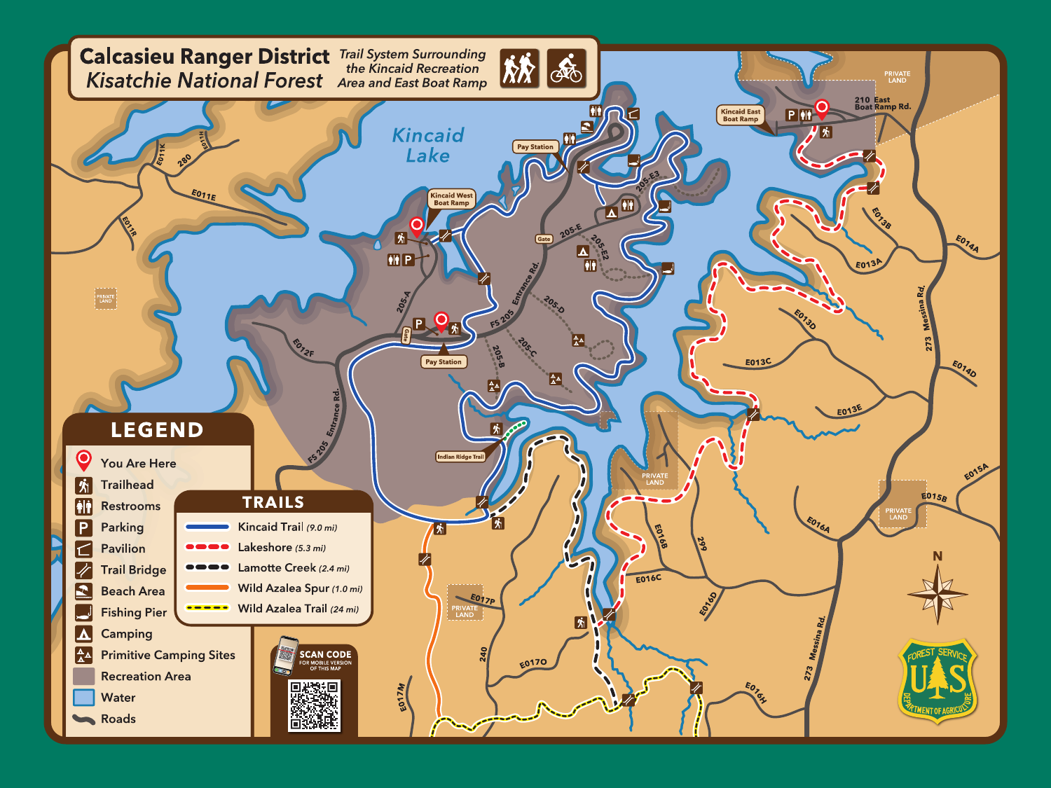